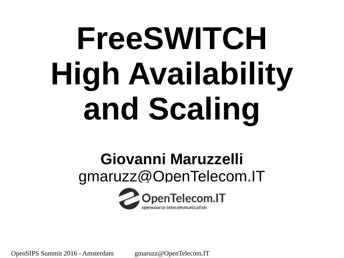# **FreeSWITCH High Availability and Scaling**

#### **Giovanni Maruzzelli** gmaruzz@OpenTelecom.IT

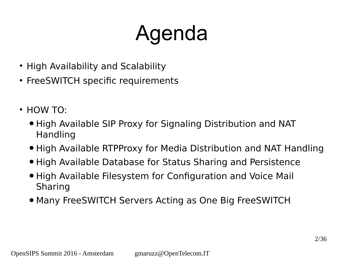# Agenda

- High Availability and Scalability
- FreeSWITCH specific requirements
- $\cdot$  HOW TO:
	- High Available SIP Proxy for Signaling Distribution and NAT Handling
	- High Available RTPProxy for Media Distribution and NAT Handling
	- High Available Database for Status Sharing and Persistence
	- High Available Filesystem for Configuration and Voice Mail Sharing
	- Many FreeSWITCH Servers Acting as One Big FreeSWITCH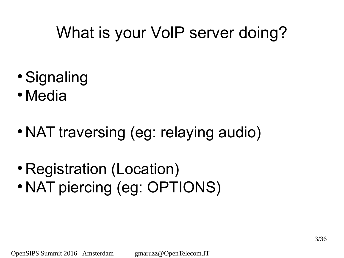#### What is your VoIP server doing?

- Signaling
- Media
- NAT traversing (eg: relaying audio)
- Registration (Location)
- NAT piercing (eg: OPTIONS)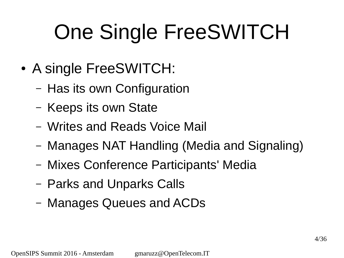# One Single FreeSWITCH

- A single FreeSWITCH:
	- Has its own Configuration
	- Keeps its own State
	- Writes and Reads Voice Mail
	- Manages NAT Handling (Media and Signaling)
	- Mixes Conference Participants' Media
	- Parks and Unparks Calls
	- Manages Queues and ACDs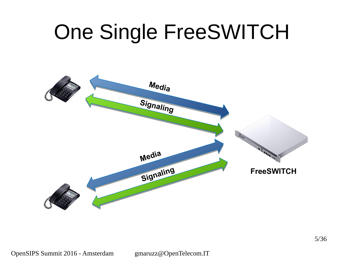### One Single FreeSWITCH

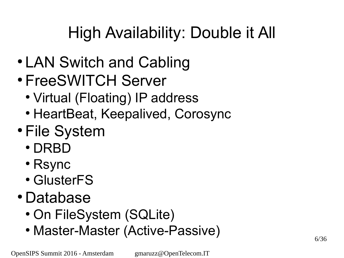### High Availability: Double it All

- LAN Switch and Cabling
- FreeSWITCH Server
	- Virtual (Floating) IP address
	- HeartBeat, Keepalived, Corosync
- File System
	- DRBD
	- Rsync
	- GlusterFS
- Database
	- On FileSystem (SQLite)
	- Master-Master (Active-Passive)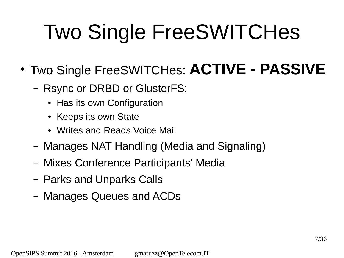- Two Single FreeSWITCHes: **ACTIVE PASSIVE**
	- Rsync or DRBD or GlusterFS:
		- Has its own Configuration
		- Keeps its own State
		- Writes and Reads Voice Mail
	- Manages NAT Handling (Media and Signaling)
	- Mixes Conference Participants' Media
	- Parks and Unparks Calls
	- Manages Queues and ACDs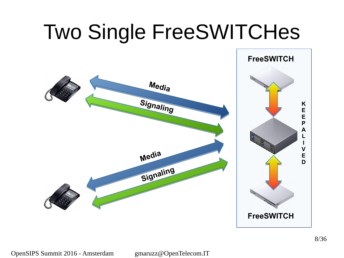

gmaruzz@OpenTelecom.IT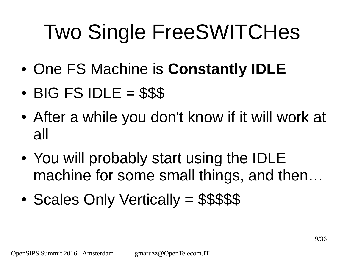- One FS Machine is **Constantly IDLE**
- $\cdot$  BIG FS IDLE = \$\$\$
- After a while you don't know if it will work at all
- You will probably start using the IDLE machine for some small things, and then…
- Scales Only Vertically = \$\$\$\$\$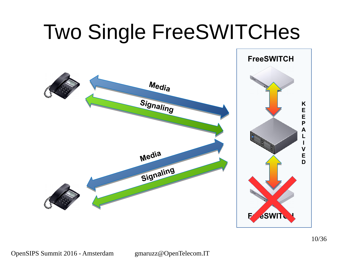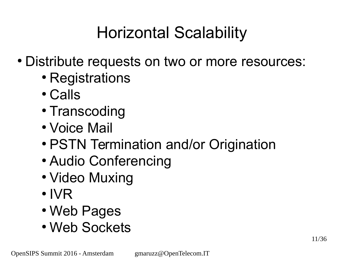#### Horizontal Scalability

- Distribute requests on two or more resources:
	- Registrations
	- Calls
	- Transcoding
	- Voice Mail
	- PSTN Termination and/or Origination
	- Audio Conferencing
	- Video Muxing
	- IVR
	- Web Pages
	- Web Sockets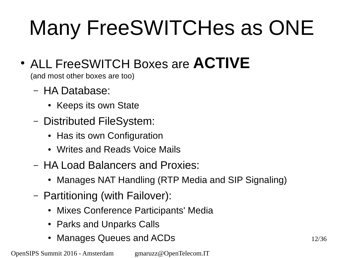# Many FreeSWITCHes as ONE

● ALL FreeSWITCH Boxes are **ACTIVE**

(and most other boxes are too)

- HA Database:
	- Keeps its own State
- Distributed FileSystem:
	- Has its own Configuration
	- Writes and Reads Voice Mails
- HA Load Balancers and Proxies:
	- Manages NAT Handling (RTP Media and SIP Signaling)
- Partitioning (with Failover):
	- Mixes Conference Participants' Media
	- Parks and Unparks Calls
	- Manages Queues and ACDs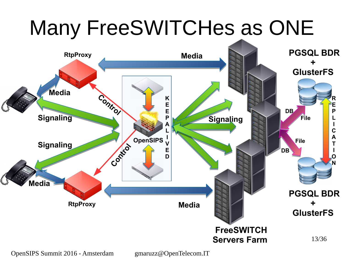

OpenSIPS Summit 2016 - Amsterdam

gmaruzz@OpenTelecom.IT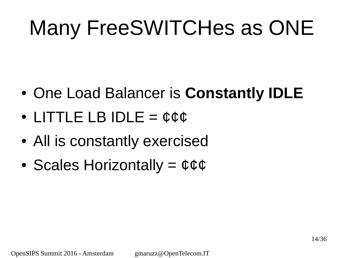### Many FreeSWITCHes as ONE

- One Load Balancer is **Constantly IDLE**
- LITTLE LB IDLE = ¢¢¢
- All is constantly exercised
- Scales Horizontally  $=$   $\phi \phi \phi$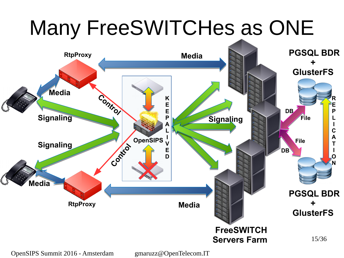

OpenSIPS Summit 2016 - Amsterdam

gmaruzz@OpenTelecom.IT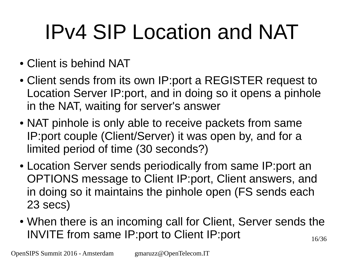### IPv4 SIP Location and NAT

- Client is behind NAT
- Client sends from its own IP:port a REGISTER request to Location Server IP:port, and in doing so it opens a pinhole in the NAT, waiting for server's answer
- NAT pinhole is only able to receive packets from same IP:port couple (Client/Server) it was open by, and for a limited period of time (30 seconds?)
- Location Server sends periodically from same IP:port an OPTIONS message to Client IP:port, Client answers, and in doing so it maintains the pinhole open (FS sends each 23 secs)
- 16/36 • When there is an incoming call for Client, Server sends the INVITE from same IP:port to Client IP:port

OpenSIPS Summit 2016 - Amsterdam

gmaruzz@OpenTelecom.IT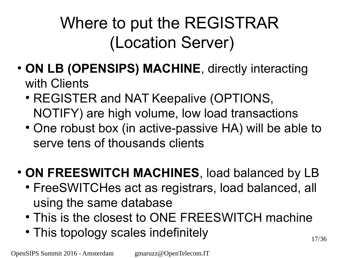### Where to put the REGISTRAR (Location Server)

- ON LB (OPENSIPS) MACHINE, directly interacting with Clients
	- REGISTER and NAT Keepalive (OPTIONS, NOTIFY) are high volume, low load transactions
	- One robust box (in active-passive HA) will be able to serve tens of thousands clients
- ON FREESWITCH MACHINES, load balanced by LB
	- FreeSWITCHes act as registrars, load balanced, all using the same database
	- This is the closest to ONE FREESWITCH machine
	- This topology scales indefinitely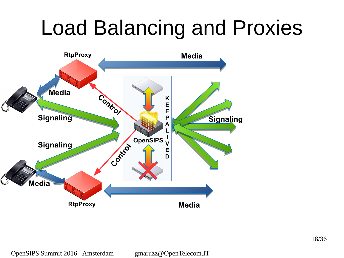### Load Balancing and Proxies

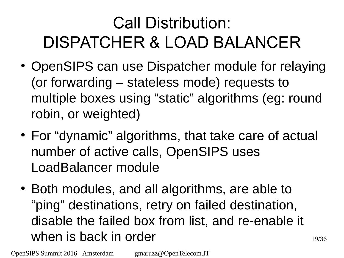### Call Distribution: DISPATCHER & LOAD BALANCER

- OpenSIPS can use Dispatcher module for relaying (or forwarding – stateless mode) requests to multiple boxes using "static" algorithms (eg: round robin, or weighted)
- For "dynamic" algorithms, that take care of actual number of active calls, OpenSIPS uses LoadBalancer module
- Both modules, and all algorithms, are able to "ping" destinations, retry on failed destination, disable the failed box from list, and re-enable it when is back in order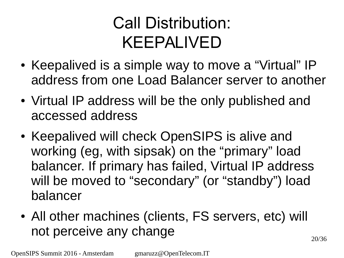#### Call Distribution: KEEPALIVED

- Keepalived is a simple way to move a "Virtual" IP address from one Load Balancer server to another
- Virtual IP address will be the only published and accessed address
- Keepalived will check OpenSIPS is alive and working (eg, with sipsak) on the "primary" load balancer. If primary has failed, Virtual IP address will be moved to "secondary" (or "standby") load balancer
- All other machines (clients, FS servers, etc) will not perceive any change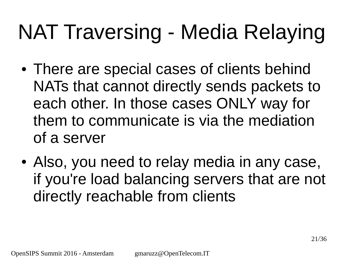### NAT Traversing - Media Relaying

- There are special cases of clients behind NATs that cannot directly sends packets to each other. In those cases ONLY way for them to communicate is via the mediation of a server
- Also, you need to relay media in any case, if you're load balancing servers that are not directly reachable from clients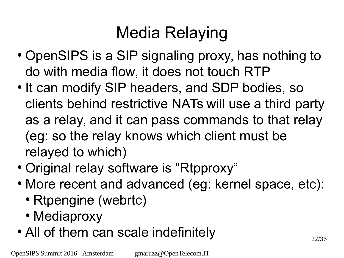### Media Relaying

- OpenSIPS is a SIP signaling proxy, has nothing to do with media flow, it does not touch RTP
- It can modify SIP headers, and SDP bodies, so clients behind restrictive NATs will use a third party as a relay, and it can pass commands to that relay (eg: so the relay knows which client must be relayed to which)
- Original relay software is "Rtpproxy"
- More recent and advanced (eg: kernel space, etc):
	- Rtpengine (webrtc)
	- Mediaproxy
- All of them can scale indefinitely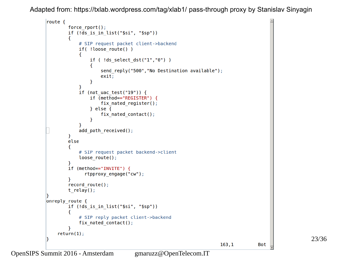Adapted from: <https://txlab.wordpress.com/tag/xlab1/> pass-through proxy by Stanislav Sinyagin

```
route {
         force rport();
         if (|\overline{ds} \text{ is in } list("§si", "§sp"))\mathbf{f}# SIP request packet client->backend
              if( !loose route() )€
                   if (!ds select dst("1","0"))
                   \mathcal{F}send reply("500", "No Destination available");
                       exit;
                   <sup>T</sup>
              }
              if (nat uac test("19")) {
                   if (method=="REGISTER") {
                       fix nated register();
                   } else \{fix nated contact();
                   \mathcal{F}Ł
              add path received();
         \mathcal{F}else
         \mathbf{f}# SIP request packet backend->client
              loose route();
         <sup>T</sup>
         if (method=="INVITE") {
                rtpproxy engage("cw");
         record route();
         t relay();
onreply route {
         if (!ds is in list("$si", "$sp"))
         €
              # SIP reply packet client->backend
              fix_nated_contact();
    return(1);163, 1
```
Bot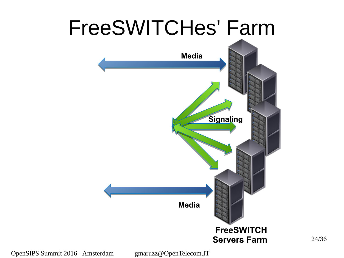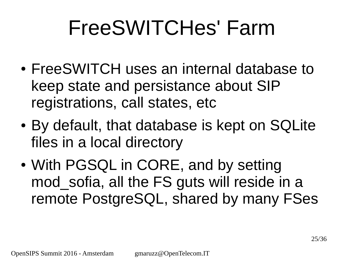- FreeSWITCH uses an internal database to keep state and persistance about SIP registrations, call states, etc
- By default, that database is kept on SQLite files in a local directory
- With PGSQL in CORE, and by setting mod sofia, all the FS guts will reside in a remote PostgreSQL, shared by many FSes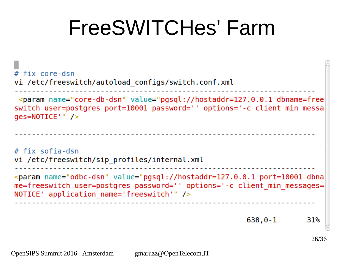# fix core-dsn vi /etc/freeswitch/autoload configs/switch.conf.xml <param name="core-db-dsn" value="pgsql://hostaddr=127.0.0.1 dbname=free switch user=postgres port=10001 password='' options='-c client min messa  $qes = NOTICE'$ " /> # fix sofia-dsn vi /etc/freeswitch/sip profiles/internal.xml <param name="odbc-dsn" value="pgsql://hostaddr=127.0.0.1 port=10001 dbna me=freeswitch user=postgres password='' options='-c client min messages= NOTICE' application name='freeswitch'"  $/$  $638, 0 - 1$ 31% 26/36

OpenSIPS Summit 2016 - Amsterdam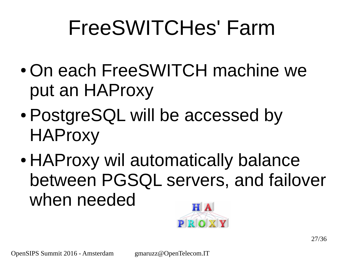- On each FreeSWITCH machine we put an HAProxy
- PostgreSQL will be accessed by HAProxy
- HAProxy wil automatically balance between PGSQL servers, and failover when needed

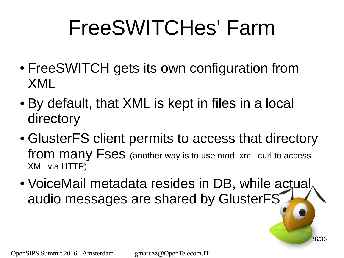- FreeSWITCH gets its own configuration from XML
- By default, that XML is kept in files in a local directory
- GlusterFS client permits to access that directory from many Fses (another way is to use mod\_xml\_curl to access XML via HTTP)
- VoiceMail metadata resides in DB, while actual audio messages are shared by GlusterFS

28/36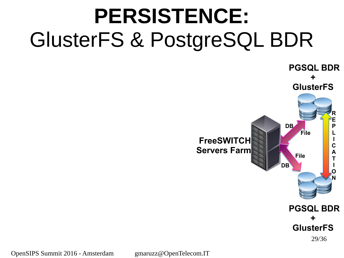### **PERSISTENCE:** GlusterFS & PostgreSQL BDR



OpenSIPS Summit 2016 - Amsterdam

gmaruzz@OpenTelecom.IT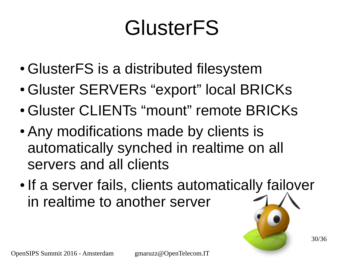### **GlusterFS**

- GlusterFS is a distributed filesystem
- Gluster SERVERs "export" local BRICKs
- Gluster CLIENTs "mount" remote BRICKs
- Any modifications made by clients is automatically synched in realtime on all servers and all clients
- If a server fails, clients automatically failover in realtime to another server

OpenSIPS Summit 2016 - Amsterdam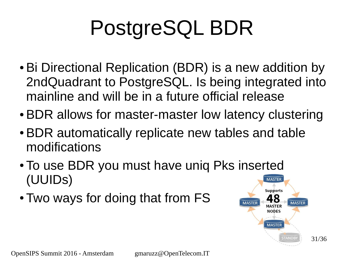# PostgreSQL BDR

- Bi Directional Replication (BDR) is a new addition by 2ndQuadrant to PostgreSQL. Is being integrated into mainline and will be in a future official release
- BDR allows for master-master low latency clustering
- BDR automatically replicate new tables and table modifications
- To use BDR you must have uniq Pks inserted (UUIDs) **MASTER**
- Two ways for doing that from FS

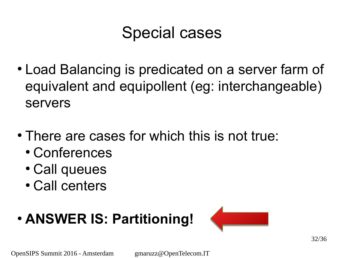#### Special cases

- Load Balancing is predicated on a server farm of equivalent and equipollent (eg: interchangeable) servers
- There are cases for which this is not true:
	- Conferences
	- Call queues
	- Call centers

#### ● **ANSWER IS: Partitioning!**

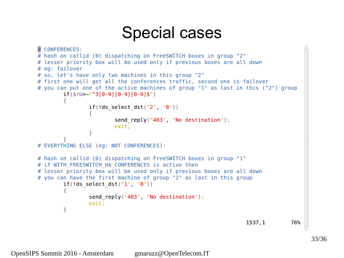#### Special cases

```
# CONFERENCES:
# hash on callid (0) dispatching on FreeSWITCH boxes in group "2"
# lesser priority box will be used only if previous boxes are all down
# eg: failover
# so, let's have only two machines in this group "2"
# first one will get all the conferences traffic, second one is failover
# you can put one of the active machines of group "1" as last in this ("2") group
        if($rU=-"^3[0-9][0-9][0-9]if(!ds select dst("2", "\theta"))
                        send reply("403", "No destination");
                        exit;
                ł
# EVERYTHING ELSE (eq: NOT CONFERENCES):
# hash on callid (0) dispatching on FreeSWITCH boxes in group "1"
# if WITH FREESWITCH HA CONFERENCES is active then
# lesser priority box will be used only if previous boxes are all down
# you can have the first machine of group "2" as last in this group
        if(!ds select dst("1", "0"))
                send reply("403", "No destination");
                exit;
        ł
                                                                  1537,1
                                                                                76%
```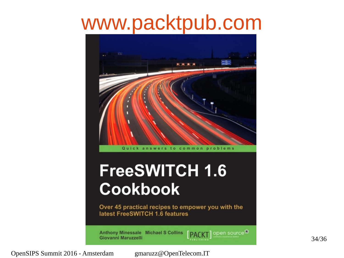### [www.packtpub.com](http://www.packtpub.com/)

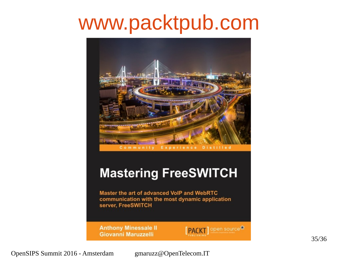### [www.packtpub.com](http://www.packtpub.com/)

![](_page_34_Picture_1.jpeg)

#### **Mastering FreeSWITCH**

Master the art of advanced VoIP and WebRTC communication with the most dynamic application server, FreeSWITCH

**Anthony Minessale II** Giovanni Maruzzelli

![](_page_34_Picture_5.jpeg)